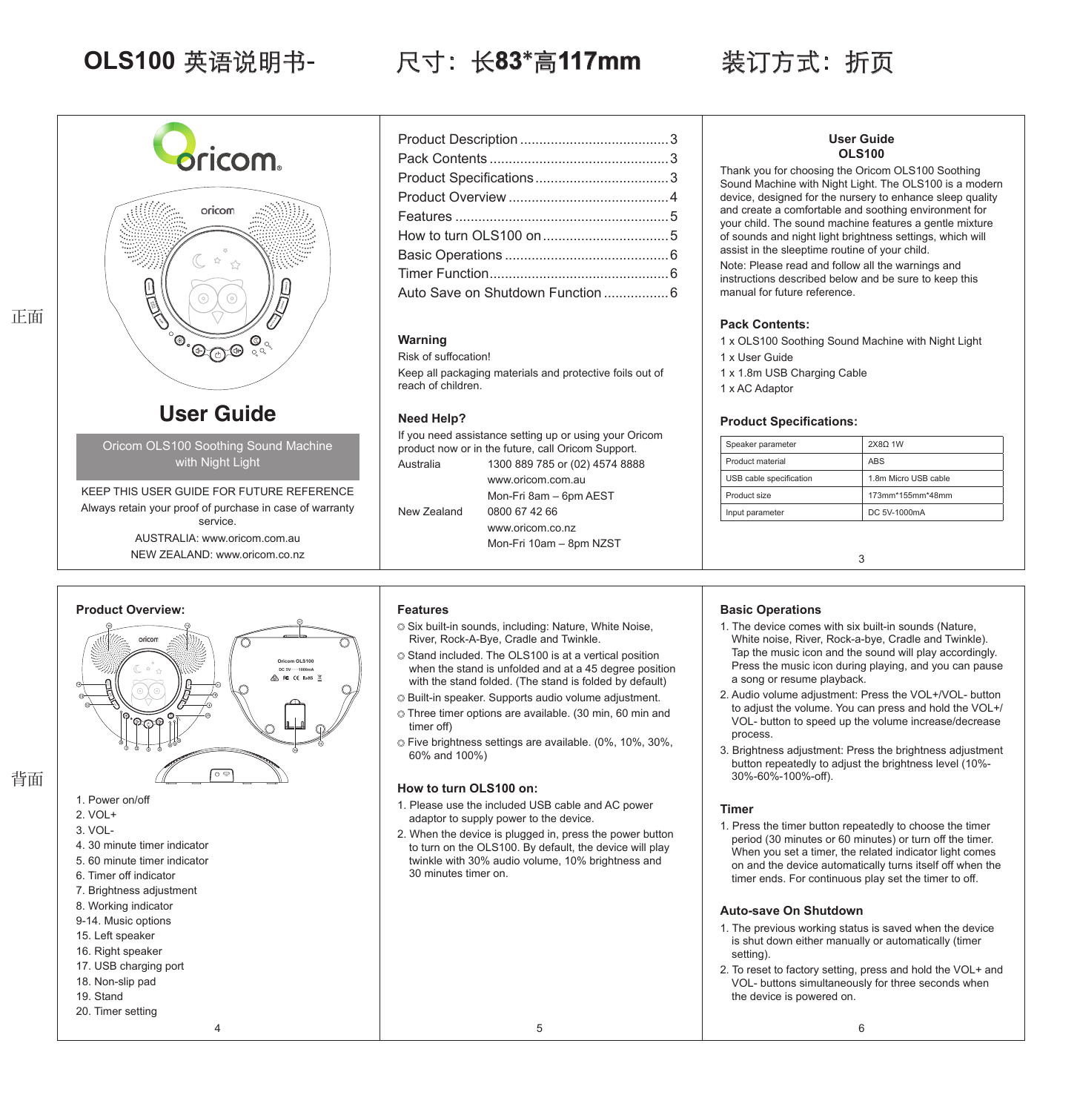## **OLS100** 英语说明书- 尺寸:长**83**\*高**117mm** 装订方式:折页



AUSTRALIA: www.oricom.com.au NEW ZEALAND: www.oricom.co.nz

<u>೯೯</u>

**Oricom OLS100 DC***a***5V***TTT***1000mA**

**ROCK-A-BYE CRADLE TWINKLE**

| Auto Save on Shutdown Function  6 |  |
|-----------------------------------|--|
|                                   |  |

## **Warning**

Risk of suffocation! Keep all packaging materials and protective foils out of reach of children.

## **Need Help?**

If you need assistance setting up or using your Oricom product now or in the future, call Oricom Support. Australia 1300 889 785 or (02) 4574 8888 www.oricom.com.au

New Zealand 0800 67 42 66

www.oricom.co.nz Mon-Fri 10am – 8pm NZST

Mon-Fri 8am – 6pm AEST

**User Guide OLS100**

Thank you for choosing the Oricom OLS100 Soothing Sound Machine with Night Light. The OLS100 is a modern device, designed for the nursery to enhance sleep quality and create a comfortable and soothing environment for your child. The sound machine features a gentle mixture of sounds and night light brightness settings, which will assist in the sleeptime routine of your child. Note: Please read and follow all the warnings and

instructions described below and be sure to keep this manual for future reference.

## **Pack Contents:**

1 x OLS100 Soothing Sound Machine with Night Light

- 1 x User Guide
- 1 x 1.8m USB Charging Cable
- 1 x AC Adaptor

## **Product Specifications:**

| Speaker parameter       | 2X80 1W              |  |
|-------------------------|----------------------|--|
| Product material        | <b>ABS</b>           |  |
| USB cable specification | 1.8m Micro USB cable |  |
| Product size            | 173mm*155mm*48mm     |  |
| Input parameter         | DC 5V-1000mA         |  |
|                         |                      |  |
|                         |                      |  |
| 3                       |                      |  |

## **Basic Operations**

- 1. The device comes with six built-in sounds (Nature, White noise, River, Rock-a-bye, Cradle and Twinkle). Tap the music icon and the sound will play accordingly. Press the music icon during playing, and you can pause a song or resume playback.
- 2. Audio volume adjustment: Press the VOL+/VOL- button to adjust the volume. You can press and hold the VOL+/ VOL- button to speed up the volume increase/decrease process.
- 3. Brightness adjustment: Press the brightness adjustment button repeatedly to adjust the brightness level (10%- 30%-60%-100%-off).

## **Timer**

1. Press the timer button repeatedly to choose the timer period (30 minutes or 60 minutes) or turn off the timer. When you set a timer, the related indicator light comes on and the device automatically turns itself off when the timer ends. For continuous play set the timer to off.

## **Auto-save On Shutdown**

- 1. The previous working status is saved when the device is shut down either manually or automatically (timer setting).
- 2. To reset to factory setting, press and hold the VOL+ and VOL- buttons simultaneously for three seconds when the device is powered on.

# 1. Power on/off 2. VOL+ 背面

正面

- 3. VOL-
- 4. 30 minute timer indicator

**Product Overview:**

pricom

**RIVER NOISE**

- 5. 60 minute timer indicator
- 6. Timer off indicator
- 7. Brightness adjustment
- 8. Working indicator
- 9-14. Music options
- 15. Left speaker
- 16. Right speaker
- 17. USB charging port
- 18. Non-slip pad
- 19. Stand
- 20. Timer setting

## **Features**

- $\circ$  Six built-in sounds, including: Nature, White Noise, River, Rock-A-Bye, Cradle and Twinkle.
- Stand included. The OLS100 is at a vertical position when the stand is unfolded and at a 45 degree position with the stand folded. (The stand is folded by default)
- Built-in speaker. Supports audio volume adjustment. Three timer options are available. (30 min, 60 min and
- timer off)
- Five brightness settings are available. (0%, 10%, 30%, 60% and 100%)

## **How to turn OLS100 on:**

- 1. Please use the included USB cable and AC power adaptor to supply power to the device.
- 2. When the device is plugged in, press the power button to turn on the OLS100. By default, the device will play twinkle with 30% audio volume, 10% brightness and 30 minutes timer on.